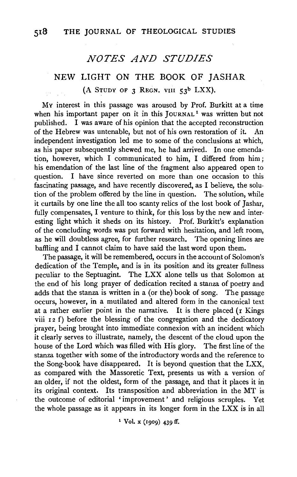## *NOTES AND STUDIES*

# NEW LIGHT ON THE BOOK OF JASHAR

(A STUDY OF 3 REGN. VIII  $53^b$  LXX).

MY interest in this passage was aroused by Prof. Burkitt at a time when his important paper on it in this JOURNAL<sup>1</sup> was written but not published. I was aware of his opinion that the accepted reconstruction of the Hebrew was untenable, but not of his own restoration of it. independent investigation led me to some of the conclusions at which, as his paper subsequently shewed me, he had arrived. In one emendation, however, which I communicated to him, I differed from him ; his emendation of the last line of the fragment also appeared open to question. I have since reverted on more than one occasion to this fascinating passage, and have recently discovered, as I believe, the solution of the problem offered by the line in question. The solution, while it curtails by one line the all too scanty relics of the lost book of Jashar, fully compensates, I venture to think, for this loss by the new and interesting light which it sheds on its history. Prof. Burkitt's explanation of the concluding words was put forward with hesitation, and left room, as he will doubtless agree, for further research. The opening lines are baffling and  $\overline{I}$  cannot claim to have said the last word upon them.

The passage, it will be remembered, occurs in the account of Solomon's dedication of the Temple, and is in its position and its greater fullness peculiar to the Septuagint. The LXX alone tells us that Solomon at the end of his long prayer of dedication recited a stanza of poetry and adds that the stanza is written in a (or the) book of song. The passage occurs, however, in a mutilated and altered form in the canonical text at a rather earlier point in the narrative. It is there placed (r Kings viii  $12 f$ ) before the blessing of the congregation and the dedicatory prayer, being brought into immediate connexion with an incident which it clearly serves to illustrate, namely, the descent of the cloud upon the house of the Lord which was filled with His glory. The first line of the stanza together with some of the introductory words and the reference to the Song-book have disappeared. It is beyond question that the LXX, as compared with the Massoretic Text, presents us with a version of an older, if not the oldest, form of the passage, and that it places it in its original context. Its transposition and abbreviation in the MT is the outcome of editorial ' improvement ' and religious scruples. Yet the whole passage as it appears in its longer form in the LXX is in all

1 Vol. x (1909) 439 ff.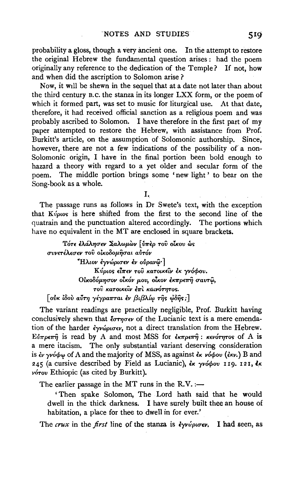probability a gloss, though a very ancient one. In the attempt to restore the original Hebrew the fundamental question arises : had the poem originally any reference to the dedication of the Temple? If not, how and when did the ascription to Solomon arise ?

Now, it Will be shewn in the sequel that at a date not later than about the third century B. c. the stanza in its longer LXX form, or the poem of which it formed part, was set to music for liturgical use. At that date, therefore, it had received official sanction as a religious poem and was probably ascribed to Solomon. I have therefore in the first part of my paper attempted to restore the Hebrew, with assistance from Prof. Burkitt's article, on the assumption of Solomonic authorship. Since, however, there are not a few indications of the possibility of a non-Solomonic origin, I have in the final portion been bold enough to hazard a theory with regard to a yet older and secular form of the poem. The middle portion brings some 'new light ' to bear on the Song-book as a whole.

L

The passage runs as follows in Dr Swete's text, with the exception that *Kvpws* is here shifted from the first to the second line of the quatrain and the punctuation altered accordingly. The portions which have no equivalent in the MT are enclosed in square brackets.

<sup>T</sup> ' ,, ,, "'i1 ' ' [' ' A • ' OT£ *El\aJI."!CT£V ""'<aii.WfU'JV tnr£p* TOV OtKOV *WS CTVV£TtA£CT£V* roil *oixo8op.ijuat aim)v*  "Ηλιον έγνώρισεν έν ούραν<u>ω</u><sup>.</sup>] *Kύριος είπεν του κατοικείν έκ γνόφου.*  $O$ *iκοδόμησον οίκόν μου, οίκον έκπρεπή σαυτώ,* roil *KaTO£K£tv* f.1r~ *Kli£VoT"!Tos.*   $\lceil$ ούκ ίδου αύτη γέγραπται έν βιβλίω της ώδης;]

The variant readings are practically negligible, Prof. Burkitt having conclusively shewn that  $\ell \sigma \tau \eta \sigma \epsilon \nu$  of the Lucianic text is a mere emendation of the harder *εγνώρισεν*, not a direct translation from the Hebrew. *Eυπρεπή* is read by A and most MSS for εκπρεπή: *κενότητος* of A is a mere itacism. The only substantial variant deserving consideration is *εν γνόφω* of A and the majority of MSS, as against εκ νόφου (εκν.) B and 245 (a cursive described by Field as Lucianic),  $\epsilon_{\kappa}$   $\gamma\nu\delta\phi$ ov 119. I21,  $\epsilon_{\kappa}$ *v6rov* Ethiopic (as cited by Burkitt).

The earlier passage in the MT runs in the R.V.  $\rightarrow$ 

' Then spake Solomon, The Lord bath said that he would dwell in the thick darkness. I have surely built thee an house of habitation, a place for thee to dwell in for ever.'

The *crux* in the *first* line of the stanza is  $\partial y \psi$  *d* pure **I** had seen, as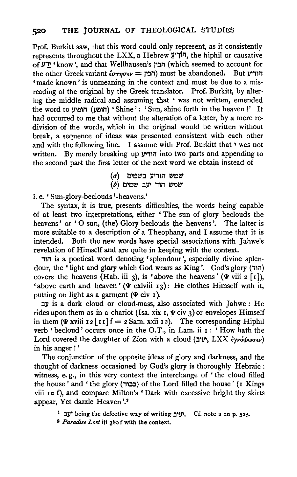Prof. Burkitt saw, that this word could only represent, as it consistently represents throughout the LXX, a Hebrew הּוֹדִיעָ, the hiphil or causative of l11; 'know', and that W ellhausen's j•:Jit (which seemed to account for the other Greek variant  $\ell\sigma\tau\eta\sigma\epsilon\nu$  (הכין must be abandoned. הודיע But 'made known' is unmeaning in the context and must be due to a misreading of the original by the Greek translator. Prof. Burkitt, by altering the middle radical and assuming that • was not written, emended the word to והופע) 'Shine': 'Sun, shine forth in the heaven!' It had occurred to me that without the alteration of a letter, by a mere redivision of the words, which in the original would be written without break, a sequence of ideas was presented consistent with each other and with the following line. I assume with Prof. Burkitt that  $\cdot$  was not written. By merely breaking up הוריע into two parts and appending to the second part the first letter of the next word we obtain instead of

> $(a)$  שמש הוריע בשמים  $(b)$  שמש הוד יעב שמים

i. e. 'Sun-glory-beclouds <sup>1</sup>-heavens.'

The syntax, it is true, presents difficulties, the words being capable of at least two interpretations, either 'The sun of glory beclouds the heavens' or 'O sun, (the) Glory beclouds the heavens'. The latter is more suitable to a description of a Theophany, and I assume that it is intended. Both the new words have special associations with Jahwe's revelation of Himself and are quite in keeping with the context.

הוד is a poetical word denoting 'splendour', especially divine splendour, the 'light and glory which God wears as King'. God's glory (הור) covers the heavens (Hab. iii 3), is 'above the heavens' ( $\Psi$  viii  $2 \lceil 1 \rceil$ ), 'above earth and heaven' ( $\Psi$  cxlviii 13): He clothes Himself with it, putting on light as a garment ( $\Psi$  civ 1).

:131 is a dark cloud or cloud-mass, also associated with J ahwe : He rides upon them as in a chariot (Isa. xix r,  $\Psi$  civ 3) or envelopes Himself in them ( $\Psi$  xviii 12 [11]  $f = 2$  Sam. xxii 12). The corresponding Hiphil verb 'becloud' occurs once in the O.T., in Lam. ii I : 'How hath the Lord covered the daughter of Zion with a cloud (יעיב, LXX  $\epsilon$ yvóφωσεν) in his anger ! '

The conjunction of the opposite ideas of glory and darkness, and the thought of darkness occasioned by God's glory is thoroughly Hebraic : witness, e. g., in this very context the interchange of ' the cloud filled the house' and 'the glory (כבוד) of the Lord filled the house' (r Kings viii 10 f), and compare Milton's 'Dark with excessive bright thy skirts appear, Yet dazzle Heaven '.<sup>1</sup>

 $'$  being the defective way of writing  $y'$ . Cf. note 2 on p. 525.

<sup>2</sup> Paradise Lost iii 380 f with the context.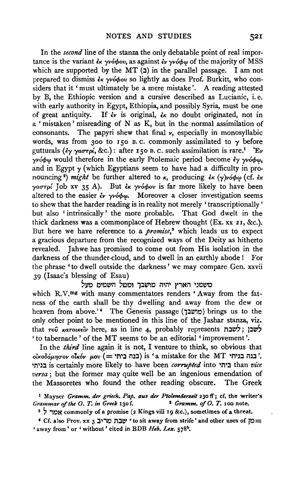In the *second* line of the stanza the only debatable point of real importance is the variant  $\epsilon_{\kappa}$  *yvócov*, as against  $\epsilon_{\nu}$  *yvóco* of the majority of MSS which are supported by the MT  $(a)$  in the parallel passage. I am not prepared to dismiss  $\epsilon_{k}$  *yvódov* so lightly as does Prof. Burkitt, who considers that it 'must ultimately be a mere mistake'. A reading attested by B, the Ethiopic version and a cursive described as Lucianic, i.e. with early authority in Egypt, Ethiopia, and possibly Syria, must be one of great antiquity. If  $\partial v$  is original,  $\partial \kappa$  no doubt originated, not in a ' mistaken ' misreading of N as K, but in the normal assimilation of consonants. The papyri shew that final *v,* especially in monosyllabic words, was from 300 to 150 B.C. commonly assimilated to  $\gamma$  before gutturals (*έγ γαστρί*, &c.): after 150 B. c. such assimilation is rare.<sup>1</sup> 'Ev *γνόφω* would therefore in the early Ptolemaic period become *εγ γνόφω*, and in Egypt  $\gamma$  (which Egyptians seem to have had a difficulty in pronouncing<sup>3</sup>) might be further altered to *κ*, producing εκ (γ)νόφφ (cf. εκ *γαστρί* Job xv 35 A). But *εκ γνόφου* is far more likely to have been altered to the easier  $\epsilon$  *yv6dw*. Moreover a closer investigation seems to shew that the harder reading is in reality not merely 'transcriptionally' but also ' intrinsically' the more probable. That God dwelt in the thick darkness was a commonplace of Hebrew thought (Ex. xx 2 I, &c.). But here we have reference to a *promise*,<sup>3</sup> which leads us to expect a gracious departure from the recognized ways of the Deity as hitherto revealed. Jahwe has promised to come out from His isolation in the darkness of the thunder-cloud, and to dwell in an earthly abode ! For the phrase 'to dwell outside the darkness' we may compare Gen. xxvii 39 (Isaac's blessing of Esau)

משמני הארץ יהיה מושבד ומטל השמים מעל

which R.V.<sup>mg</sup> with many commentators renders 'Away from the fatness of the earth shall be thy dwelling and away from the dew *ot*  heaven from above.'<sup>4</sup> The Genesis passage (מישבך) brings us to the only other point to be mentioned in this line of the Jashar stanza, viz. that *Tou* KaTOLKEiv here, as in line 4, probably represents  $\forall$ שבן; ו $\forall$ ' to tabernacle ' of the MT seems to be an editorial 'improvement'.

In the *third* line again it is not, I venture to think, so obvious that *olKo86p.7JCTOV olK6v p.ov* ( = ~m::l m.::l) is 'a mistake for the MT ~n~~.::l *m.:l* '. W~.::l is certainly more likely to have been *corrupted* into ~n~.::l than *vice versa;* but the former may quite well be an ingenious emendation of the Massoretes who found the other reading obscure. The Greek

<sup>1</sup> Mayser *Gramm. der griech. Pap. aus der Ptolemäerzeit* 230 ff; cf. the writer's *Grammar of the O. T. in Greek* 130f. 2 *Gramm. of O. T.* 100 note.

s  $\frac{1}{2}$  commonly of a promise (2 Kings viii 19 &c.), sometimes of a threat.

' Cf. also Prov. xx 3 שבת מריב 'to sit away from strife' and other uses of  $\uparrow$ 'away from ' or ' without' cited in BDB *Heb. Lex.* 578<sup>b</sup>.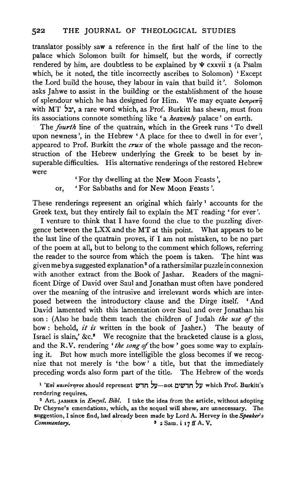translator possibly saw a reference in the first half of the line to the palace which Solomon built for himself, but the words, if correctly rendered by him, are doubtless to be explained by  $\Psi$  cxxvii **1** (a Psalm which, be it noted, the title incorrectly ascribes to Solomon) 'Except the Lord build the house, they labour in vain that build it'. Solomon asks Jahwe to assist in the building or the establishment of the house of splendour which he has designed for Him. We may equate  $\epsilon_{K\pi\rho\epsilon\pi\hat{\eta}}$ with MT : בל, a rare word which, as Prof. Burkitt has shewn, must from its associations connote something like 'a *heavenly* palace' on earth.

The *fourth* line of the quatrain, which in the Greek runs 'To dwell upon newness', in the Hebrew 'A place for thee to dwell in for ever', appeared to Prof. Burkitt the *crux* of the whole passage and the reconstruction of the Hebrew underlying the Greek to be beset by insuperable difficulties. His alternative renderings of the restored Hebrew were

'For thy dwelling at the New Moon Feasts',

or, 'For Sabbaths and for New Moon Feasts'.

These renderings represent an original which fairly<sup>1</sup> accounts for the Greek text, but they entirely fail to explain the MT reading 'for ever'.

I venture to think that I have found the clue to the puzzling divergence between the LXX and the MT at this point. What appears to be the last line of the quatrain proves, if I am not mistaken, to be no part of the poem at all, but to belong to the comment which follows, referring the reader to the source from which the poem is taken. The hint was given me by a suggested explanation 2 of a rather similar puzzle in connexion with another extract from the Book of Jashar. Readers of the magnificent Dirge of David over Saul and Jonathan must often have pondered over the meaning of the intrusive and irrelevant words which are interposed between the introductory clause and the Dirge itself. 'And David lamented with this lamentation over Saul and over Jonathan his son : (Also he bade them teach the children of Judah the use of the bow: behold, *it is* written in the book of Jasher.) The beauty of Israel is slain,' &c. $*$  We recognize that the bracketed clause is a gloss, and the R.V. rendering *'the song* of the bow' goes some way to explaining it. But how much more intelligible the gloss becomes if we recognize that not merely is 'the bow' a title, but that the immediately preceding words also form part of the title. The Hebrew of the words

1 'Eπl καινότητοs should represent  $y \rightarrow y$ -not על חדשים של which Prof. Burkitt's rendering requires.<br><sup>2</sup> Art. JASHER in *Encycl. Bibl.* I take the idea from the article, without adopting

Dr Cheyne's emendations, which, as the sequel will shew, are unnecessary. The suggestion, I since find, had already been made by Lord A. Hervey in the *Speaker's Commentary.*  $\begin{array}{c} 3 \text{ s and } 17 \text{ f} \text{A. V.} \end{array}$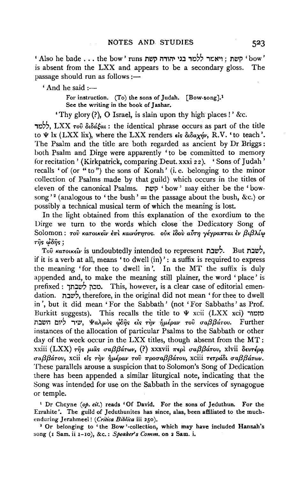י Also he bade . . . the bow' runs יו השת ללמד בני הודה קשת ' bow' is absent from the LXX and appears to be a secondary gloss. The is absent from the LXX and appears to be a secondary gloss.  $passage$  should run as follows :-

' And he said  $:$ ---

For instruction. (To) the sons of Judah.  $[Down-song]$ <sup>1</sup> See the writing in the book of Jashar.

'Thy glory(?), O Israel, is slain upon thy high places!' &c.

ללמד, LXX *Tov διδάξαι*: the identical phrase occurs as part of the title to  $\Psi$  lx (LXX lix), where the LXX renders  $\epsilon \delta s \delta a \delta a \chi \eta \nu$ , R.V. 'to teach'. The Psalm and the title are both regarded as ancient by Dr Briggs : both Psalm and Dirge were apparently 'to be committed to memory for recitation' (Kirkpatrick, comparing Deut. xxxi 22). 'Sons of Judah' recalls 'of (or "to") the sons of Korah' (i.e. belonging to the minor collection of Psalms made by that guild) which occurs in the titles of eleven of the canonical Psalms. ישה ' bow' may either be the 'bowsong'<sup>2</sup> (analogous to 'the bush' = the passage about the bush, &c.) or possibly a technical musical term of which the meaning is lost.

In the light obtained from this explanation of the exordium to the Dirge we turn to the words which close the Dedicatory Song of Solomon : *του κατοικείν έπι καινότητος.* ούκ ίδου αύτη γέγραπται έν βιβλίω  $\tau\hat\eta$ s မှဝိ $\hat\eta$ s ;

Tov *Kaτοικεῖν* is undoubtedly intended to represent  $\mathcal{L}$ שׁׁבַּת, But לשׁבַת, if it is a verb at all, means 'to dwell (in)' : a suffix is required to express the meaning 'for thee to dwell in'. In the MT the suffix is duly appended and, to make the meaning still plainer, the word ' place' is prefixed : טכון לשבתך. This, however, is a clear case of editorial emendation. לשבח, therefore, in the original did not mean ' for thee to dwell in', but it did mean 'For the Sabbath' (not 'For Sabbaths' as Prof. Burkitt suggests). This recalls the title to  $\Psi$  xcii (LXX xci) מומור 11:Jt:'il J:lll' jl;!l, *>VaA.p.o<>* <PO~<> *ei<> rqv* ~p.epav *'TOV uaf3f3a'TOV.* Further instances of the allocation of particular Psalms to the Sabbath or other day of the week occur in the LXX titles, though absent from the MT : xxiii (LXX) της μιας σαββάτων, (?) xxxvii περί σαββάτου, xlvii δευτέρα  $\sigma a \beta \beta$ άτου, xcii είς την ήμέραν τοῦ προσαββάτου, xciii τετράδι σαββάτων. These parallels arouse a suspicion that to Solomon's Song of Dedication there has been appended a similar liturgical note, indicating that the Song was intended for use on the Sabbath in the services of synagogue or temple.

<sup>1</sup> Dr Cheyne (op. cit.) reads 'Of David. For the sons of Jeduthun. For the Ezrahite'. The guild of Jeduthunites has since, alas, been affiliated to the muchenduring Jerahmeel! *(Critica Biblica* iii 250).

<sup>2</sup> Or belonging to 'the Bow'-collection, which may have included Hannah's song (1 Sam. ii 1-Io), &c.: *Speaker's Comm.* on 2 Sam. i.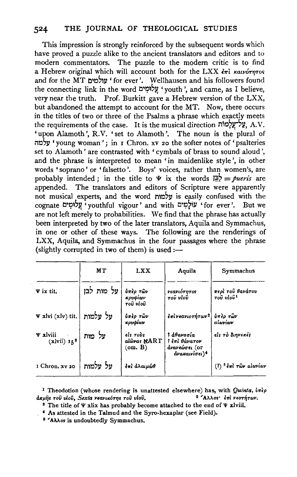### 524 THE JOURNAL OF THEOLOGICAL STUDIES

This impression is strongly reinforced by the subsequent words which have proved a puzzle alike to the ancient translators and editors and to modern commentators. The puzzle to the modern critic is to find a Hebrew original which will account both for the LXX  $\epsilon \pi i$  **Katy6rnros** and for the MT שולמים 'for ever'. Wellhausen and his followers found the connecting link in the word "עֵלוּמָים" (youth', and came, as I believe, very near the truth. Prof. Burkitt gave a Hebrew version of the LXX, but abandoned the attempt to account for the MT. Now, there occurs in the titles of two or three of the Psalms a phrase which exactly meets the requirements of the case. It is the musical direction  $y'$ י  $y'$ , A.V. 'upon Alamoth ', R.V. 'set to Alamoth '. The noun is the plural of ilO~ll ' young woman ' ; in 1 Chron. xv 20 the softer notes of 'psalteries set to Alamoth' are contrasted with 'cymbals of brass to sound aloud', and the phrase is interpreted to mean 'in maidenlike style', in other words 'soprano' or 'falsetto'. Boys' voices, rather than women's, are probably intended; in the title to  $\Psi$  ix the words  $\mathbb{R}^5$  = *pueris* are appended. The translators and editors of Scripture were apparently not musical experts, and the word עלמות is easily confused with the cognate ' עֵלוּמָים' youthful vigour' and with עוֹלָמִים 'for ever'. But we are not left merely to probabilities. We find that the phrase has actually been interpreted by two of the later translators, Aquila and Symmachus, in one or other of these ways. The following are the renderings of LXX, Aquila, and Symmachus in the four passages where the phrase (slightly corrupted in two of them) is used: $\rightarrow$ 

|                                 | MT         | <b>LXX</b>                               | Aquila                                                                    | Symmachus                                       |
|---------------------------------|------------|------------------------------------------|---------------------------------------------------------------------------|-------------------------------------------------|
| $\Psi$ ix tit.                  | על מות לבן | ύπερ τῶν<br>κρυφίων<br>τοῦ υἱοῦ          | νεανιότητος<br>τοῦ νίοῦ                                                   | περί τοῦ θανάτου<br>$\tau$ ου νίου <sup>1</sup> |
| $\Psi$ xivi (xiv) tit.          | על עלמות   | ύπερ τῶν<br>κουφίων                      | $\frac{2}{3}$ πινεανιοτήτων <sup>2</sup>                                  | ύπλο τῶν<br>alaviav                             |
| $\Psi$ xlviii<br>(xlvii) $15^3$ | על מות     | els robs<br>alŵras NART<br>$($ om. B $)$ | † άθανασία<br>! έπὶ θάνατον<br>άνανεώσει (or<br>άνακαινίσει) <sup>4</sup> | els το διηνεκές                                 |
| 1 Chron. xv 20                  | על עלמות   | ξπι άλαιμώθ                              |                                                                           | $(?)$ <sup>5</sup> $\epsilon$ πι των αιωνίων    |

<sup>&</sup>lt;sup>1</sup> Theodotion (whose rendering is unattested elsewhere) has, with *Quinta*,  $\hat{v}$ riep **dκ**μής του vioυ, Sexta νεανικότης του vioυ. **2 Αλλος·** επι νεοτήτων.

<sup>&</sup>lt;sup>8</sup> The title of  $\Psi$  xlix has probably become attached to the end of  $\Psi$  xlviii.

<sup>&</sup>lt;sup>4</sup> As attested in the Talmud and the Syro-hexaplar (see Field).<br><sup>5</sup>  $^{\prime}$ A $\lambda \lambda$ os is undoubtedly Symmachus.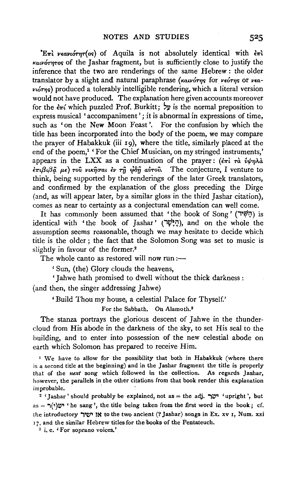E<sup>t</sup> veaviorm (os) of Aquila is not absolutely identical with  $\epsilon \hat{n}$ kauvormos of the Jashar fragment, but is sufficiently close to justify the inference that the two are renderings of the same Hebrew : the older translator by a slight and natural paraphrase (kawórns for veórns or vea $v$ <sub> $v$ </sub> $v$  $v$ <sub> $f$ </sub>) produced a tolerably intelligible rendering, which a literal version would not have produced. The explanation here given accounts moreover for the  $\epsilon_{\pi i}$  which puzzled Prof. Burkitt;  $y$  is the normal preposition to express musical 'accompaniment'; it is abnormal in expressions of time, such as 'on the New Moon Feast'. For the confusion by which the title has been incorporated into the body of the poem, we may compare the prayer of Habakkuk (iii 19), where the title, similarly placed at the end of the poem,<sup>1</sup> 'For the Chief Musician, on my stringed instruments,' appears in the LXX as a continuation of the prayer:  $(\epsilon \pi i \tau \dot{a} \dot{v} \psi \eta \dot{\alpha})$ *lm{3t{:3ij. 1u) Tov vtK1J!Tat £v* rjj *'f!oij aln-ov.* The conjecture, I venture to think, being supported by the renderings of the later Greek translators, and confirmed by the explanation of the gloss preceding the Dirge (and, as will appear later, by a similar gloss in the third Jashar citation), comes as near to certainty as a conjectural emendation can well come.

It has commonly been assumed that 'the book of Song' (הַשָּׁיר) is identical with 'the book of Jashar' {,~!Q), and on the whole the assumption seems reasonable, though we may hesitate to decide which title is the older ; the fact that the Solomon Song was set to music is slightly in favour of the former.<sup>2</sup>

The whole canto as restored will now run:-

'Sun, (the) Glory clouds the heavens,

'Jahwe bath promised to dwell without the thick darkness: (and then, the singer addressing Jahwe)

'Build Thou my house, a celestial Palace for Thyself.'

For the Sabbath. On Alamoth.<sup>3</sup>

The stanza portrays the glorious descent of Jahwe in the thundercloud from His abode in the darkness of the sky, to set His seal to the building, and to enter into possession of the new celestial abode on earth which Solomon has prepared to receive Him.

<sup>1</sup> We have to allow for the possibility that both in Habakkuk (where there is a second title at the beginning) and in the Jashar fragment the title is properly that of the next song which followed in the collection. As regards Jashar,  $\mu$  is the parallels in the other citations from that book render this explanation time. wever, the paranels in the improbable.<br><sup>2</sup>'Jashar' should probably be explained, not as = the adj. "ישר 'upright', but

 $as = \eta(r)\mathcal{C}^r$  'he sang', the title being taken from the first word in the book; cf. the introductory וישור to the two ancient (? Jashar) songs in Ex. xv 1, Num. xxi 17, and the similar Hebrew titles for the books of the Pentateuch.<br><sup>3</sup> i. e. 'For soprano voices.'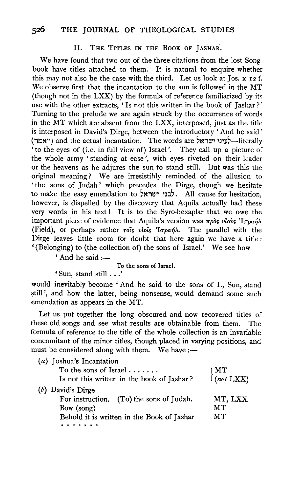II. THE TITLES IN THE BOOK OF JASHAR.

We have found that two out of the three citations from the lost Songbook have titles attached to them. It is natural to enquire whether this may not also be the case with the third. Let us look at Jos. x 12 f. We observe first that the incantation to the sun is followed in the MT (though not in the LXX) by the formula of reference familiarized by its use with the other extracts, 'Is not this written in the book of Jashar?' Turning to the prelude we are again struck by the occurrence of words in the MT which are absent from the LXX, interposed, just as the title is interposed in David's Dirge, between the introductory 'And he said' (יאמר) and the actual incantation. The words are 'יאמר) and the actual incantation. The words are  $\frac{1}{2}$ ' to the eyes of (i.e. in full view of) Israel'. They call up a picture of the whole army 'standing at ease', with eyes riveted on their leader or the heavens as he adjures the sun to stand still. But was this the original meaning? We are irresistibly reminded of the allusion to 'the sons of Judah' which precedes the Dirge, though we hesitate to make the easy emendation to לבני ישראל, All cause for hesitation, however, is dispelled by the discovery that Aquila actually had these very words in his text ! It is to the Syro-hexaplar that we owe the important piece of evidence that Aquila's version was  $\pi \rho \delta s$  *viovs* 'I $\sigma \rho \alpha \gamma \lambda$ (Field), or perhaps rather *το*ις *νίοις 'Ισραήλ*. The parallel with the Dirge leaves little room for doubt that here again we have a title : '(Belonging) to (the collection of) the sons of Israel.' We see how

' And he said  $:$   $-$ 

To the sons of Israel.

• Sun, stand still .. .'

would inevitably become 'And he said to the sons of **1.,** Sun, stand still', and how the latter, being nonsense, would demand some such emendation as appears in the MT.

Let us put together the long obscured and now recovered titles of these old songs and see what results are obtainable from them. The formula of reference to the title of the whole collection is an invariable concomitant of the minor titles, though placed in varying positions, and must be considered along with them. We have: $\leftarrow$ 

|  |  |  | (a) Joshua's Incantation |  |
|--|--|--|--------------------------|--|
|--|--|--|--------------------------|--|

| $\mathcal{L}_{\mathcal{L}}$                |                                          |  |
|--------------------------------------------|------------------------------------------|--|
| To the sons of Israel $\dots$ .            |                                          |  |
| Is not this written in the book of Jashar? | $\Big\}^{\text{MT}}_{(not \text{ LXX})}$ |  |
| $(b)$ David's Dirge                        |                                          |  |
| For instruction. (To) the sons of Judah.   | MT, LXX                                  |  |
| Bow (song)                                 | MТ                                       |  |
| Behold it is written in the Book of Jashar | MТ                                       |  |
|                                            |                                          |  |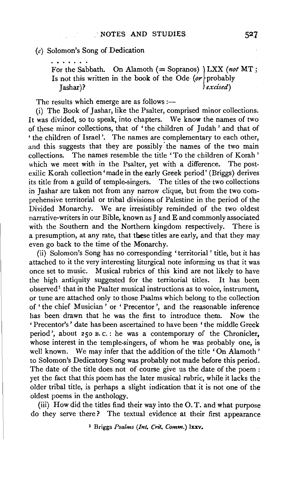#### $(c)$  Solomon's Song of Dedication

. . . . . . . For the Sabbath. On Alamoth (= Sopranos) ) LXX (not MT; Is not this written in the book of the Ode  $(or)$  probably Jashar)? *excised)* 

The results which emerge are as follows :-

(i) The Book of Jashar, like the Psalter, comprised minor collections. It was divided, so to speak, into chapters. We know the names of two of these minor collections, that of 'the children of Judah' and that of 'the children of Israel'. The names are complementary to each other, and this suggests that they are possibly· the names of the two main collections. The names resemble the title 'To the children of Korah' which we meet with in the Psalter, yet with a difference. The postexilic Korah collection 'made in the early Greek period' (Briggs) derives its title from a guild of temple-singers. The titles of the two collections in Jashar are taken not from any narrow clique, but from the two comprehensive territorial or tribal divisions of Palestine in the period of the Divided Monarchy. We are irresistibly reminded of the two oldest narrative-writers in our Bible, known as J and E and commonly associated with the Southern and the Northern kingdom respectively. There is a presumption, at any rate, that these titles are early, and that they may even go back to the time of the Monarchy.

(ii) Solomon's Song has no corresponding 'territorial ' title, but it has attached to it the very interesting liturgical note informing us that it was once set to music. Musical rubrics of this kind are not likely to have the high antiquity suggested for the territorial titles. It has been observed<sup>1</sup> that in the Psalter musical instructions as to voice, instrument, or tune are attached only to those Psalms which belong to the collection of' the chief Musician' or 'Precentor', and the reasonable inference has been drawn that he was the first to introduce them. Now the 'Precentor's' date has been ascertained to have been 'the middle Greek period', about 250 B. c. : he was a contemporary of the Chronicler, whose interest in the temple-singers, of whom he was probably one, is well known. We may infer that the addition of the title 'On Alamoth' to Solomon's Dedicatory Song was probably not made before this period. The date of the title does not of course give us the date of the poem : yet the fact that this poem has the later musical rubric, while it lacks the older tribal title, is perhaps a slight indication that it is not one of the oldest poems in the anthology.

(iii) How did the titles find their way into the 0. T. and what purpose do they serve there? The textual evidence at their first appearance

1 Briggs *Psalms (lnt, Crit, Comm.)* lxxv.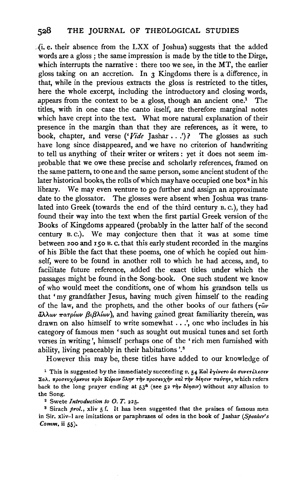,{i.e. their absence from the LXX of Joshua) suggests that the added words are a gloss ; the same impression is made by the title to the Dirge, which interrupts the narrative : there too we see, in the MT, the earlier gloss taking on an accretion. In  $\alpha$  Kingdoms there is a difference, in that, while in the previous extracts the gloss is restricted to the titles, here the whole excerpt, including the introductory and closing words, appears from the context to be a gloss, though an ancient one.1 The titles, with in one case the canto itself, are therefore marginal notes which have crept into the text. What more natural explanation of their presence in the margin than that they are references, as it were, to book, chapter, and verse *('Vide* Jashar . . .')? The glosses as such have long since disappeared, and we have no criterion of handwriting to tell us anything of their writer or writers : yet it does not seem improbable that we owe these precise and scholarly references, framed on the same pattern, to one and the same person, some ancient student of the later historical books, the rolls of which may have occupied one box<sup>2</sup> in his library. We may even venture to go further and assign an approximate date to the glossator. The glosses were absent when Joshua was translated into Greek (towards the end of the third century B. c.), they had found their way into the text when the first partial Greek version of the :Books of Kingdoms appeared (probably in the latter half of the second century B. c.). We may conjecture then that it was at some time between 200 and 150 B. c. that this early student recorded in the margins of his Bible the fact that these poems, one of which he copied out himself, were to be found in another roll to which he had access, and, to facilitate future reference, added the exact titles under which the passages might be found in the Song-book. One such student we know of who would meet the conditions, one of whom his grandson tells us that 'my grandfather Jesus, having much given himself to the reading of the law, and the prophets, and the other books of our fathers ( $\tau$  $\hat{\omega}$ v  $\partial \lambda \lambda \omega \nu$   $\pi a \tau \rho \omega \nu$   $\beta t \beta \lambda \omega \nu$ , and having gained great familiarity therein, was drawn on also himself to write somewhat .. .', one who includes in his category of famous men 'such as sought out musical tunes and set forth verses in writing', himself perhaps one of the 'rich men furnished with ability, living peaceably in their habitations'.<sup>3</sup>

However this may be, these titles have added to our knowledge of

<sup>1</sup> This is suggested by the immediately succeeding *v*. 54 Kal εγένετο ώs συνετέλεσεν Σαλ. προσευχόμενοs πρόs Κύριον όλην την προσευχήν και την δέησιν ταύτην, which refers back to the long prayer ending at  $53^a$  (see  $5^a$   $\tau\eta\nu$   $\delta\eta\sigma\nu$ ) without any allusion to the Song.

2 Swete *Introduction to 0. T.* 225.

<sup>8</sup> Sirach *prol.*, xliv 5 f. It has been suggested that the praises of famous men in Sir. xliv-1 are imitations or paraphrases of odes in the book of Jashar *(Speaker's Comm,* ii 55).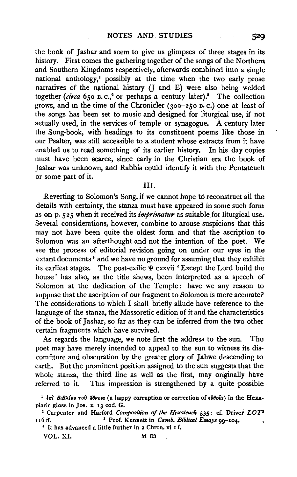the book of Jashar and seem to give us glimpses of three stages in its history. First comes the gathering together of the songs of the Northern and Southern Kingdoms respectively, afterwards combined into a single national anthology,<sup>1</sup> possibly at the time when the two early prose narratives of the national history (J and E) were also being welded together (circa  $650$  B. c.,<sup>2</sup> or perhaps a century later).<sup>3</sup> The collection grows, and in the time of the Chronicler (300-250 B.C.) one at least of the songs has been set to music and designed for liturgical use, if not actually used, in the services of temple or synagogue. A century later the Song-book, with headings to its constituent poems like those in our Psalter, was still accessible to a student whose extracts from it have enabled us to read something of its earlier history. In his day copies must have been scarce, since early in the Christian era the book of Jashar was unknown, and Rabbis could identify it with the Pentateuch or some part of it.

#### III.

Reverting to Solomon's Song, if we cannot hope to reconstruct all the details with certainty, the stanza must have appeared in some such form as on p. 525 when it received its *imprimatur* as suitable for liturgical use. Several considerations, however, combine to arouse suspicions that this may not have been quite the oldest form and that the ascription to Solomon was an afterthought and not the intention of the poet. We see the process of editorial revision going on under our eyes in the extant documents *4* and we have no ground for assuming that they exhibit its earliest stages. The post-exilic  $\Psi$  cxxvii 'Except the Lord build the house' has also, as the title shews, been interpreted as a speech of Solomon at the dedication of the Temple: have we any reason to suppose that the ascription of our fragment to Solomon is more accurate? The considerations to which I shall briefly allude have reference to the language of the stanza, the Massoretic edition of it and the characteristics of the book of Jashar, so far as they can be inferred from the two other certain fragments which have survived.

As regards the language, we note first the address to the sun. The poet may have merely intended to appeal to the sun to witness its discomfiture and obscuration by the greater glory of Jahwe descending to earth. But the prominent position assigned to the sun suggests that the whole stanza, the third line as well as the first, may originally have referred to it. This impression is strengthened by a quite possible·

VOL. XI. Mm

<sup>&</sup>lt;sup>1</sup>  $\frac{1}{2}$   $\frac{1}{2}$   $\frac{1}{2}$   $\frac{1}{2}$   $\frac{1}{2}$   $\frac{1}{2}$   $\frac{1}{2}$   $\frac{1}{2}$   $\frac{1}{2}$   $\frac{1}{2}$   $\frac{1}{2}$   $\frac{1}{2}$   $\frac{1}{2}$   $\frac{1}{2}$   $\frac{1}{2}$   $\frac{1}{2}$   $\frac{1}{2}$   $\frac{1}{2}$   $\frac{1}{2}$   $\frac{1}{2}$   $\frac{1}{2}$   $\frac{1}{2$ plaric gloss in Jos. x 13 cod. G.<br><sup>2</sup> Carpenter and Harford *Composition of the Hexateuch* 335: cf. Driver *LOT*<sup>2</sup>

<sup>116</sup> ff. • Prof. Kennett in *Camh. Biblical Essays* 99-104.

<sup>•</sup> It has advanced a little further in 2 Chron. vi I f.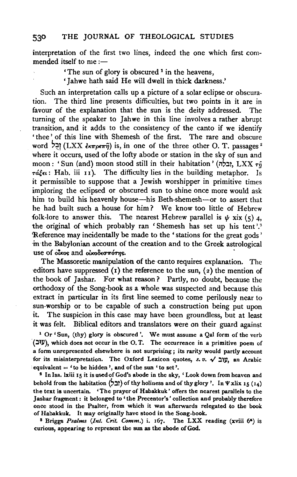#### 530 THE JOURNAL OF THEOLOGICAL STUDIES

interpretation of the first two lines, indeed the one which first commended itself to me $:=$ 

The sun of glory is obscured  $1$  in the heavens,

'Jahwe hath said He will dwell in thick darkness.'

Such an interpretation calls up a picture of a solar eclipse or obscura-<br>tion. The third line presents difficulties, but two points in it are in The third line presents difficulties, but two points in it are in of the explanation that the sun is the deity addressed. The favour of the explanation that the sun is the deity addressed. turning of the speaker to Jahwe in this line involves a rather abrupt transition, and it adds to the consistency of the canto if we identify 'thee ' of this line with Shemesh of the first. The rare and obscure word <sup>5</sup>! (LXX  $\epsilon_{K\pi\rho\epsilon\pi\hat{\eta}}$ ) is, in one of the three other O. T. passages <sup>2</sup> where it occurs, used of the lofty abode or station in the sky of sun and moon: 'Sun (and) moon stood still in their habitation' (גבלה, LXX  $\tau$  $\tau d \xi \epsilon \iota$ : Hab. iii 11). The difficulty lies in the building metaphor. Is it permissible to suppose that a Jewish worshipper in primitive times imploring the eclipsed or obscured sun to shine once more would ask him to build his heavenly house-his Beth-shemesh-or to assert that he had built such a house for him? We know too little of Hebrew folk-lore to answer this. The nearest Hebrew parallel is  $\psi$  xix (5) 4, the original of which probably ran 'Shemesh has set up his tent'.<sup>3</sup> Reference may incidentally be made to the 'stations for the great gods' in the Babylonian account of the creation and to the Greek astrological use of otwos and oikodeanorms.

The Massoretic manipulation of the canto requires explanation. The editors have suppressed  $(1)$  the reference to the sun,  $(2)$  the mention of the book of Jashar. For what reason? Partly, no doubt, because the orthodoxy of the Song-book as a whole was suspected and because this extract in particular in its first line seemed to come perilously near to sun-worship or to be capable of such a construction being put upon it. The suspicion in this case may have been groundless, but at least it was felt. Biblical editors and translators were on their guard against

<sup>1</sup> Or 'Sun, (thy) glory is obscured'. We must assume a Qal form of the verb ( $19$ ), which does not occur in the O.T. The occurrence in a primitive poem of a form unrepresented elsewhere is not surprising; its rarity would partly account for its misinterpretation. The Oxford Lexicon quotes,  $s. v. \sqrt{\frac{dy}{dy}}$ , an Arabic  $equivalent = 'to be hidden', and of the sun 'to set'.$ 

<sup>2</sup> In Isa. lxiii 15 it is used of God's abode in the sky, 'Look down from heaven and behold from the habitation  $(2)$ : of thy holiness and of thy glory'. In  $\Psi$  xlix 15 (14) the text is uncertain. 'The prayer of Habakkuk' offers the nearest parallels to the Jashar fragment: it belonged to' the Precentor's' collection and probably therefore once stood in the Psalter, from which it was afterwards relegated to the book of Habakkuk. It may originally have stood in the Song-book.

<sup>3</sup> Briggs *Psalms (Int. Crit. Comm.*) i. 167. The LXX reading (xviii 6<sup>a</sup>) is curious, appearing to represent the sun as the abode of God.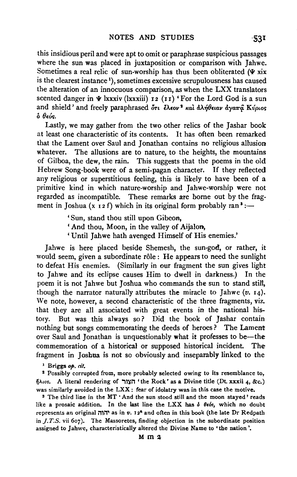this insidious peril and were apt to omit or paraphrase suspicious passages where the sun was placed in juxtaposition or comparison with Jahwe. Sometimes a real relic of sun-worship has thus been obliterated ( $\Psi$  xix is the clearest instance 1 ), sometimes excessive scrupulousness has caused the alteration of an innocuous comparison, as when the LXX translators scented danger in  $\Psi$  lxxxiv (lxxxiii) 12 (11) 'For the Lord God is a sun and shield' and freely paraphrased or *ilhov*<sup>2</sup> kal *dhiftear dyara* Kvpios  $\delta$   $\theta$ cós.

Lastly, we may gather from the two other relics of the Jashar book at least one characteristic of its contents. It has often been remarked that the Lament over Saul and Jonathan contains no religious allusion whatever. The allusions are to nature, to the heights, the mountains of Gilboa, the dew, the rain. This suggests that the poems in the old Hebrew Song-book were of a semi-pagan character. If they reflected any religious or superstitious feeling, this is likely to have been of a primitive kind in which nature-worship and Jahwe-worship were not regarded as incompatible. These remarks are borne out by the fragment in Joshua (x 12 f) which in its original form probably ran<sup>3</sup>:—

- 'Sun, stand thou still upon Gibeon,
- ' And thou, Moon, in the valley of Aijalon,
- 'Until Jahwe bath avenged Himself of His enemies.'

Jahwe is here placed beside Shemesh, the sun-god, or rather, it would seem, given a subordinate rôle : He appears to need the sunlight to defeat His enemies. (Similarly in our fragment the sun gives light to Jahwe and its eclipse causes Him to dwell in darkness.) In the poem it is not Jahwe but Joshua who commands the sun to stand stiH, though the narrator naturally attributes the miracle to Jahwe  $(v. 14)$ . We note, however, a second characteristic of the three fragments, viz. that they are all associated with great events in the national history. But was this always so? Did the book of Jashar contain nothing but songs commemorating the deeds of heroes ? The Lament over Saul and Jonathan is unquestionably what it professes to be-the commemoration of a historical or supposed historical incident. The fragment in Joshua is not so obviously and inseparably linked to the

<sup>1</sup> Briggs *op. cit.* 

2 Possibly corrupted from, more probably selected owing to its resemblance to,  $\tilde{\eta}$ as a Divine title (Dt. xxxii 4, &c.) והצור 'the Rock' as a Divine title (Dt. xxxii 4, &c.) was similarly avoided in the LXX : fear of idolatry was in this case the motive.

s The third line in the MT 'And the sun stood still and the moon stayed' reads like a prosaic addition. In the last line the LXX has  $\delta$   $\theta \epsilon$ os, which no doubt represents an original יהוה as in  $v$ . **I2<sup>a</sup>** and often in this book (the late Dr Redpath in *].T.S.* vii 6o7). The Massoretes, finding objection in the subordinate position assigned to Jahwe, characteristically altered the Divine Name to 'the nation'.